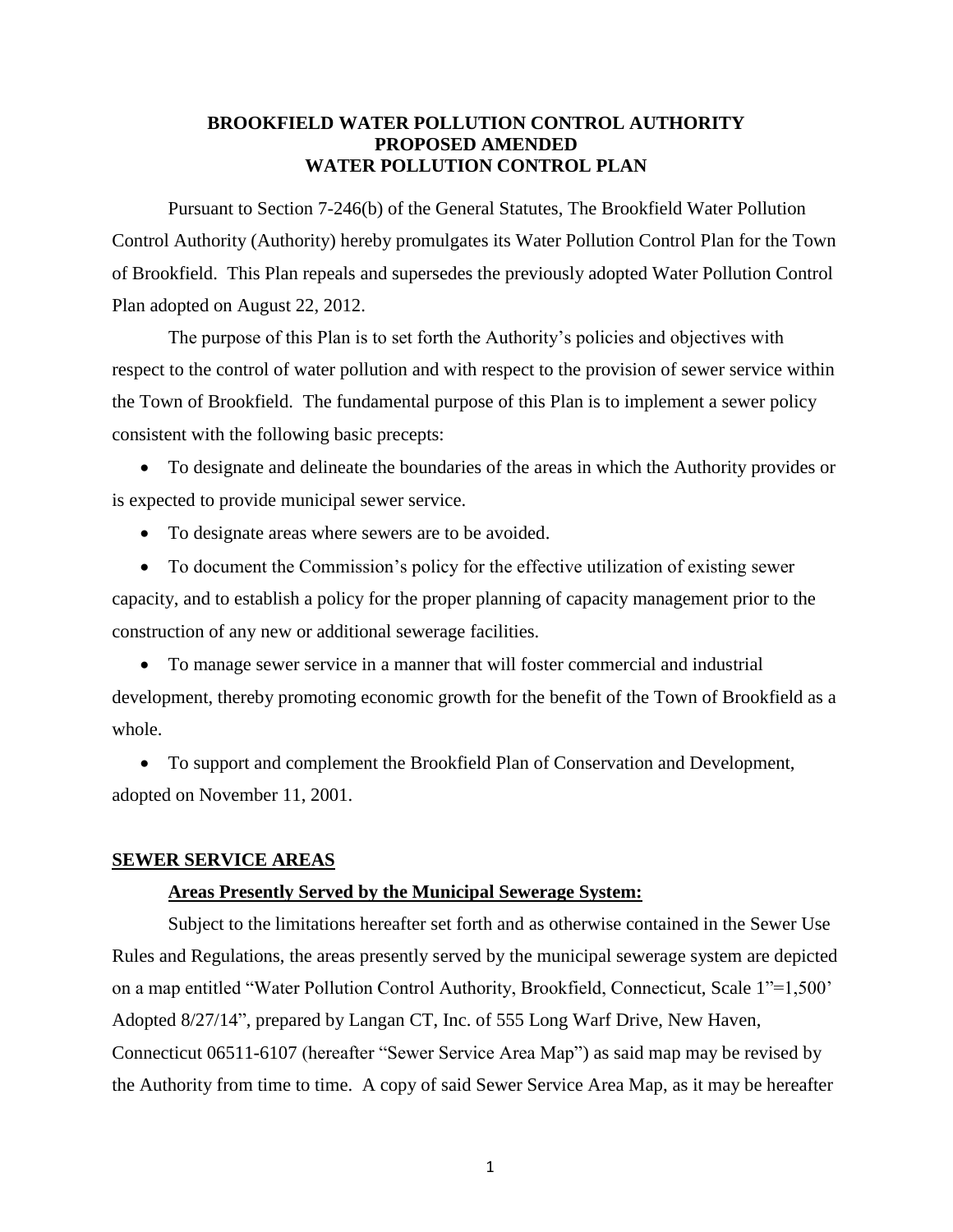### **BROOKFIELD WATER POLLUTION CONTROL AUTHORITY PROPOSED AMENDED WATER POLLUTION CONTROL PLAN**

Pursuant to Section 7-246(b) of the General Statutes, The Brookfield Water Pollution Control Authority (Authority) hereby promulgates its Water Pollution Control Plan for the Town of Brookfield. This Plan repeals and supersedes the previously adopted Water Pollution Control Plan adopted on August 22, 2012.

The purpose of this Plan is to set forth the Authority's policies and objectives with respect to the control of water pollution and with respect to the provision of sewer service within the Town of Brookfield. The fundamental purpose of this Plan is to implement a sewer policy consistent with the following basic precepts:

 To designate and delineate the boundaries of the areas in which the Authority provides or is expected to provide municipal sewer service.

• To designate areas where sewers are to be avoided.

 To document the Commission's policy for the effective utilization of existing sewer capacity, and to establish a policy for the proper planning of capacity management prior to the construction of any new or additional sewerage facilities.

 To manage sewer service in a manner that will foster commercial and industrial development, thereby promoting economic growth for the benefit of the Town of Brookfield as a whole.

 To support and complement the Brookfield Plan of Conservation and Development, adopted on November 11, 2001.

#### **SEWER SERVICE AREAS**

#### **Areas Presently Served by the Municipal Sewerage System:**

Subject to the limitations hereafter set forth and as otherwise contained in the Sewer Use Rules and Regulations, the areas presently served by the municipal sewerage system are depicted on a map entitled "Water Pollution Control Authority, Brookfield, Connecticut, Scale 1"=1,500' Adopted 8/27/14", prepared by Langan CT, Inc. of 555 Long Warf Drive, New Haven, Connecticut 06511-6107 (hereafter "Sewer Service Area Map") as said map may be revised by the Authority from time to time. A copy of said Sewer Service Area Map, as it may be hereafter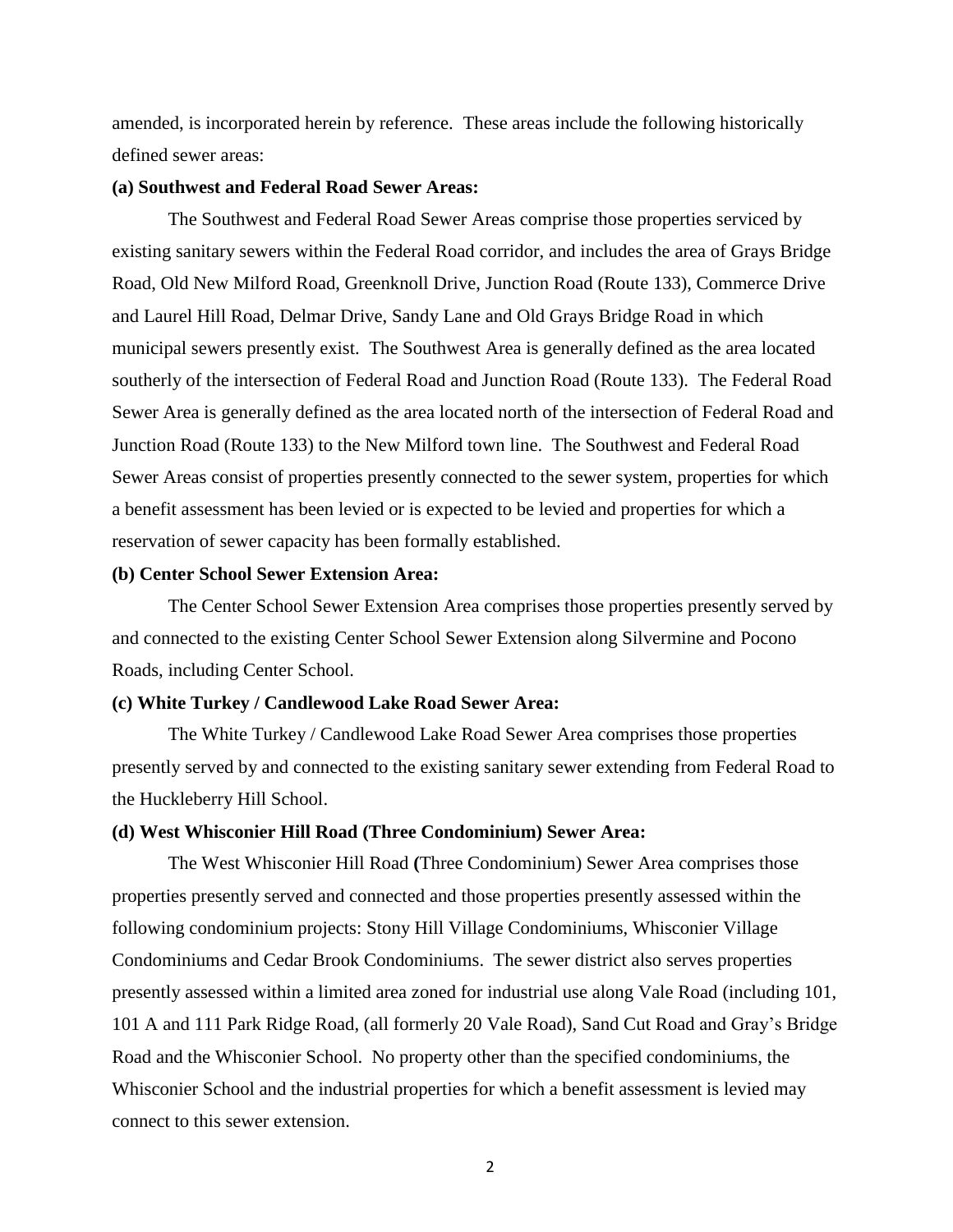amended, is incorporated herein by reference. These areas include the following historically defined sewer areas:

#### **(a) Southwest and Federal Road Sewer Areas:**

The Southwest and Federal Road Sewer Areas comprise those properties serviced by existing sanitary sewers within the Federal Road corridor, and includes the area of Grays Bridge Road, Old New Milford Road, Greenknoll Drive, Junction Road (Route 133), Commerce Drive and Laurel Hill Road, Delmar Drive, Sandy Lane and Old Grays Bridge Road in which municipal sewers presently exist. The Southwest Area is generally defined as the area located southerly of the intersection of Federal Road and Junction Road (Route 133). The Federal Road Sewer Area is generally defined as the area located north of the intersection of Federal Road and Junction Road (Route 133) to the New Milford town line. The Southwest and Federal Road Sewer Areas consist of properties presently connected to the sewer system, properties for which a benefit assessment has been levied or is expected to be levied and properties for which a reservation of sewer capacity has been formally established.

#### **(b) Center School Sewer Extension Area:**

The Center School Sewer Extension Area comprises those properties presently served by and connected to the existing Center School Sewer Extension along Silvermine and Pocono Roads, including Center School.

#### **(c) White Turkey / Candlewood Lake Road Sewer Area:**

The White Turkey / Candlewood Lake Road Sewer Area comprises those properties presently served by and connected to the existing sanitary sewer extending from Federal Road to the Huckleberry Hill School.

#### **(d) West Whisconier Hill Road (Three Condominium) Sewer Area:**

The West Whisconier Hill Road **(**Three Condominium) Sewer Area comprises those properties presently served and connected and those properties presently assessed within the following condominium projects: Stony Hill Village Condominiums, Whisconier Village Condominiums and Cedar Brook Condominiums. The sewer district also serves properties presently assessed within a limited area zoned for industrial use along Vale Road (including 101, 101 A and 111 Park Ridge Road, (all formerly 20 Vale Road), Sand Cut Road and Gray's Bridge Road and the Whisconier School. No property other than the specified condominiums, the Whisconier School and the industrial properties for which a benefit assessment is levied may connect to this sewer extension.

2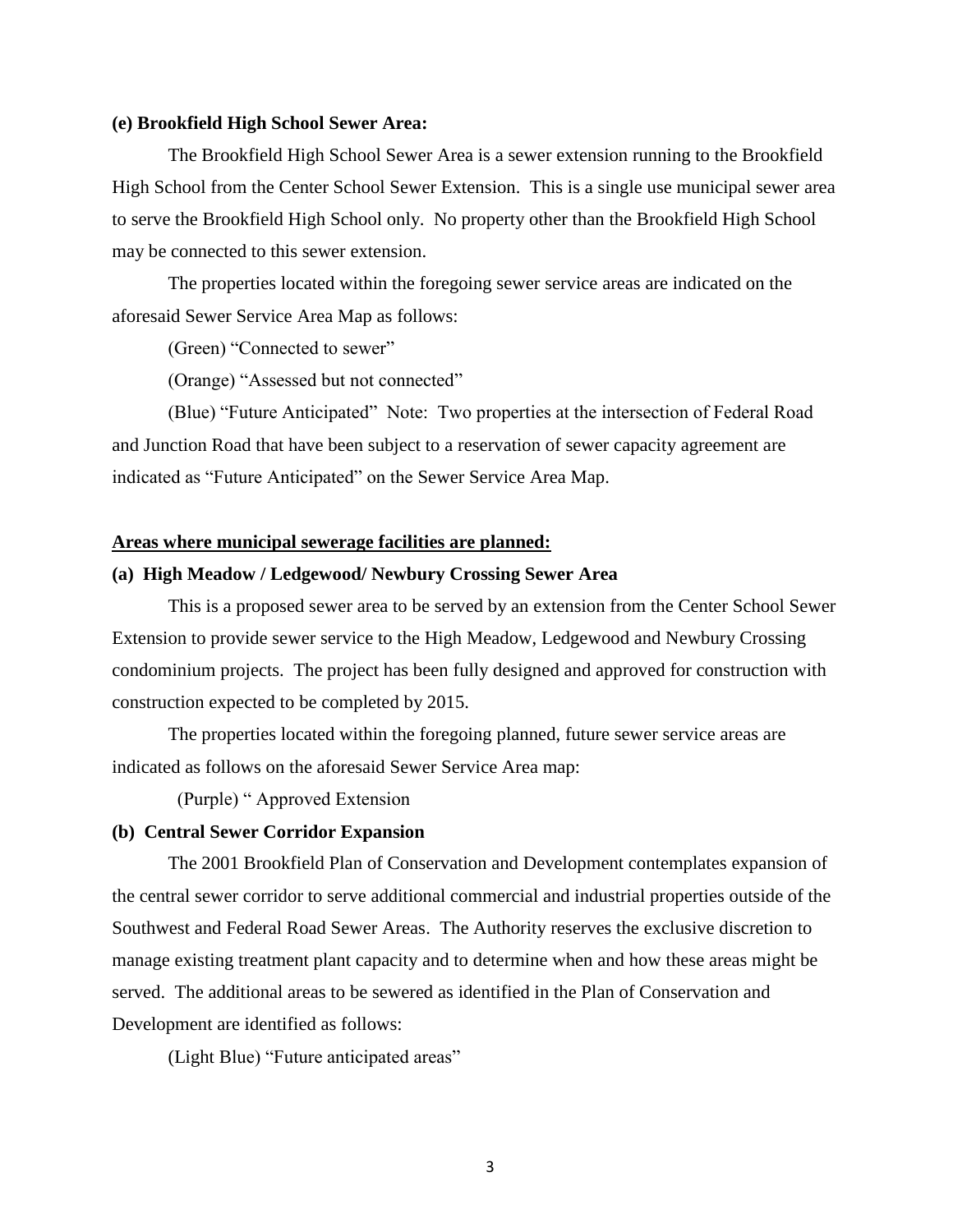#### **(e) Brookfield High School Sewer Area:**

The Brookfield High School Sewer Area is a sewer extension running to the Brookfield High School from the Center School Sewer Extension. This is a single use municipal sewer area to serve the Brookfield High School only. No property other than the Brookfield High School may be connected to this sewer extension.

The properties located within the foregoing sewer service areas are indicated on the aforesaid Sewer Service Area Map as follows:

(Green) "Connected to sewer"

(Orange) "Assessed but not connected"

(Blue) "Future Anticipated" Note: Two properties at the intersection of Federal Road and Junction Road that have been subject to a reservation of sewer capacity agreement are indicated as "Future Anticipated" on the Sewer Service Area Map.

#### **Areas where municipal sewerage facilities are planned:**

#### **(a) High Meadow / Ledgewood/ Newbury Crossing Sewer Area**

This is a proposed sewer area to be served by an extension from the Center School Sewer Extension to provide sewer service to the High Meadow, Ledgewood and Newbury Crossing condominium projects. The project has been fully designed and approved for construction with construction expected to be completed by 2015.

The properties located within the foregoing planned, future sewer service areas are indicated as follows on the aforesaid Sewer Service Area map:

(Purple) " Approved Extension

#### **(b) Central Sewer Corridor Expansion**

The 2001 Brookfield Plan of Conservation and Development contemplates expansion of the central sewer corridor to serve additional commercial and industrial properties outside of the Southwest and Federal Road Sewer Areas. The Authority reserves the exclusive discretion to manage existing treatment plant capacity and to determine when and how these areas might be served. The additional areas to be sewered as identified in the Plan of Conservation and Development are identified as follows:

(Light Blue) "Future anticipated areas"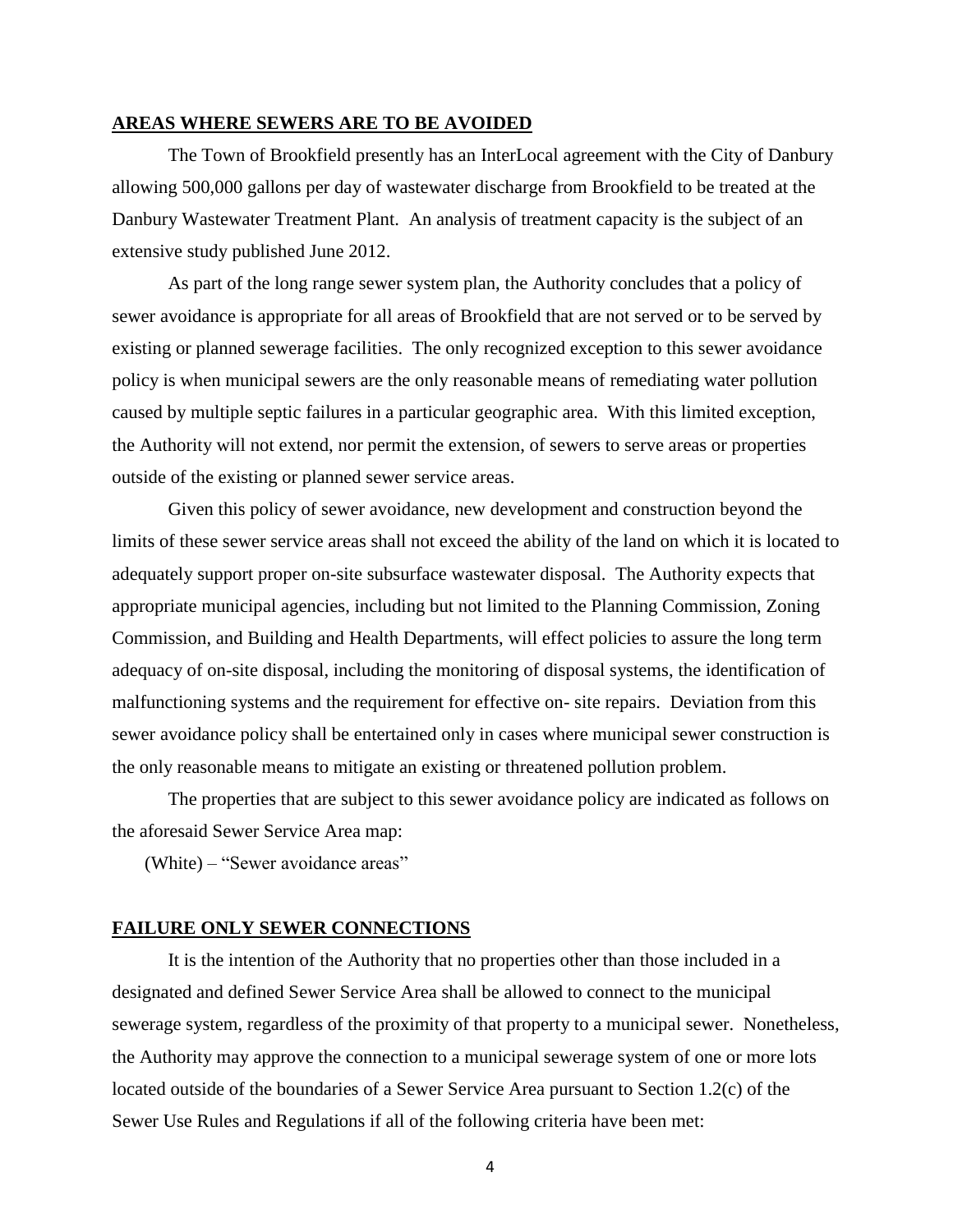#### **AREAS WHERE SEWERS ARE TO BE AVOIDED**

The Town of Brookfield presently has an InterLocal agreement with the City of Danbury allowing 500,000 gallons per day of wastewater discharge from Brookfield to be treated at the Danbury Wastewater Treatment Plant. An analysis of treatment capacity is the subject of an extensive study published June 2012.

As part of the long range sewer system plan, the Authority concludes that a policy of sewer avoidance is appropriate for all areas of Brookfield that are not served or to be served by existing or planned sewerage facilities. The only recognized exception to this sewer avoidance policy is when municipal sewers are the only reasonable means of remediating water pollution caused by multiple septic failures in a particular geographic area. With this limited exception, the Authority will not extend, nor permit the extension, of sewers to serve areas or properties outside of the existing or planned sewer service areas.

Given this policy of sewer avoidance, new development and construction beyond the limits of these sewer service areas shall not exceed the ability of the land on which it is located to adequately support proper on-site subsurface wastewater disposal. The Authority expects that appropriate municipal agencies, including but not limited to the Planning Commission, Zoning Commission, and Building and Health Departments, will effect policies to assure the long term adequacy of on-site disposal, including the monitoring of disposal systems, the identification of malfunctioning systems and the requirement for effective on- site repairs. Deviation from this sewer avoidance policy shall be entertained only in cases where municipal sewer construction is the only reasonable means to mitigate an existing or threatened pollution problem.

The properties that are subject to this sewer avoidance policy are indicated as follows on the aforesaid Sewer Service Area map:

(White) – "Sewer avoidance areas"

#### **FAILURE ONLY SEWER CONNECTIONS**

It is the intention of the Authority that no properties other than those included in a designated and defined Sewer Service Area shall be allowed to connect to the municipal sewerage system, regardless of the proximity of that property to a municipal sewer. Nonetheless, the Authority may approve the connection to a municipal sewerage system of one or more lots located outside of the boundaries of a Sewer Service Area pursuant to Section 1.2(c) of the Sewer Use Rules and Regulations if all of the following criteria have been met: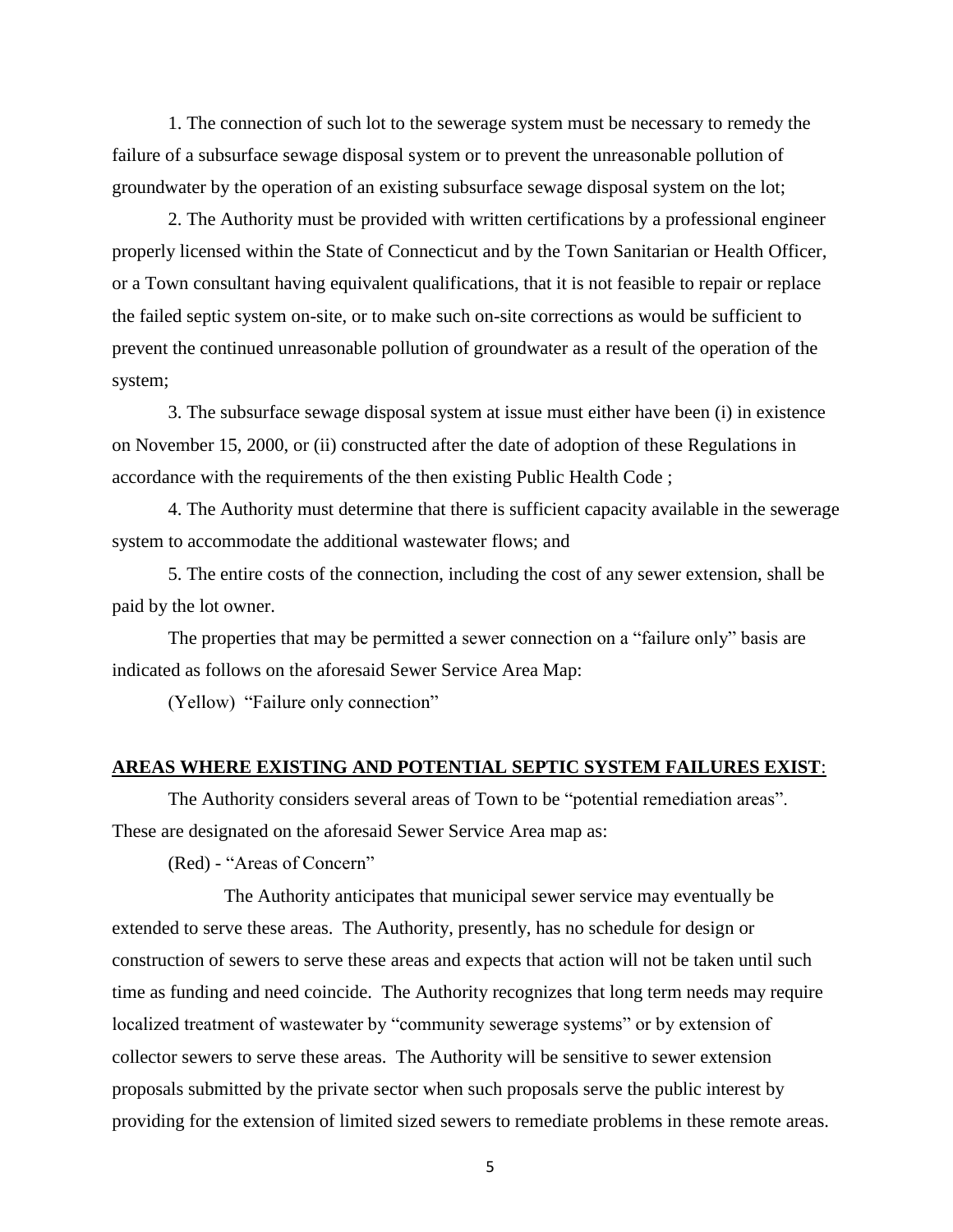1. The connection of such lot to the sewerage system must be necessary to remedy the failure of a subsurface sewage disposal system or to prevent the unreasonable pollution of groundwater by the operation of an existing subsurface sewage disposal system on the lot;

2. The Authority must be provided with written certifications by a professional engineer properly licensed within the State of Connecticut and by the Town Sanitarian or Health Officer, or a Town consultant having equivalent qualifications, that it is not feasible to repair or replace the failed septic system on-site, or to make such on-site corrections as would be sufficient to prevent the continued unreasonable pollution of groundwater as a result of the operation of the system;

3. The subsurface sewage disposal system at issue must either have been (i) in existence on November 15, 2000, or (ii) constructed after the date of adoption of these Regulations in accordance with the requirements of the then existing Public Health Code ;

4. The Authority must determine that there is sufficient capacity available in the sewerage system to accommodate the additional wastewater flows; and

5. The entire costs of the connection, including the cost of any sewer extension, shall be paid by the lot owner.

The properties that may be permitted a sewer connection on a "failure only" basis are indicated as follows on the aforesaid Sewer Service Area Map:

(Yellow) "Failure only connection"

#### **AREAS WHERE EXISTING AND POTENTIAL SEPTIC SYSTEM FAILURES EXIST**:

The Authority considers several areas of Town to be "potential remediation areas". These are designated on the aforesaid Sewer Service Area map as:

(Red) - "Areas of Concern"

The Authority anticipates that municipal sewer service may eventually be extended to serve these areas. The Authority, presently, has no schedule for design or construction of sewers to serve these areas and expects that action will not be taken until such time as funding and need coincide. The Authority recognizes that long term needs may require localized treatment of wastewater by "community sewerage systems" or by extension of collector sewers to serve these areas. The Authority will be sensitive to sewer extension proposals submitted by the private sector when such proposals serve the public interest by providing for the extension of limited sized sewers to remediate problems in these remote areas.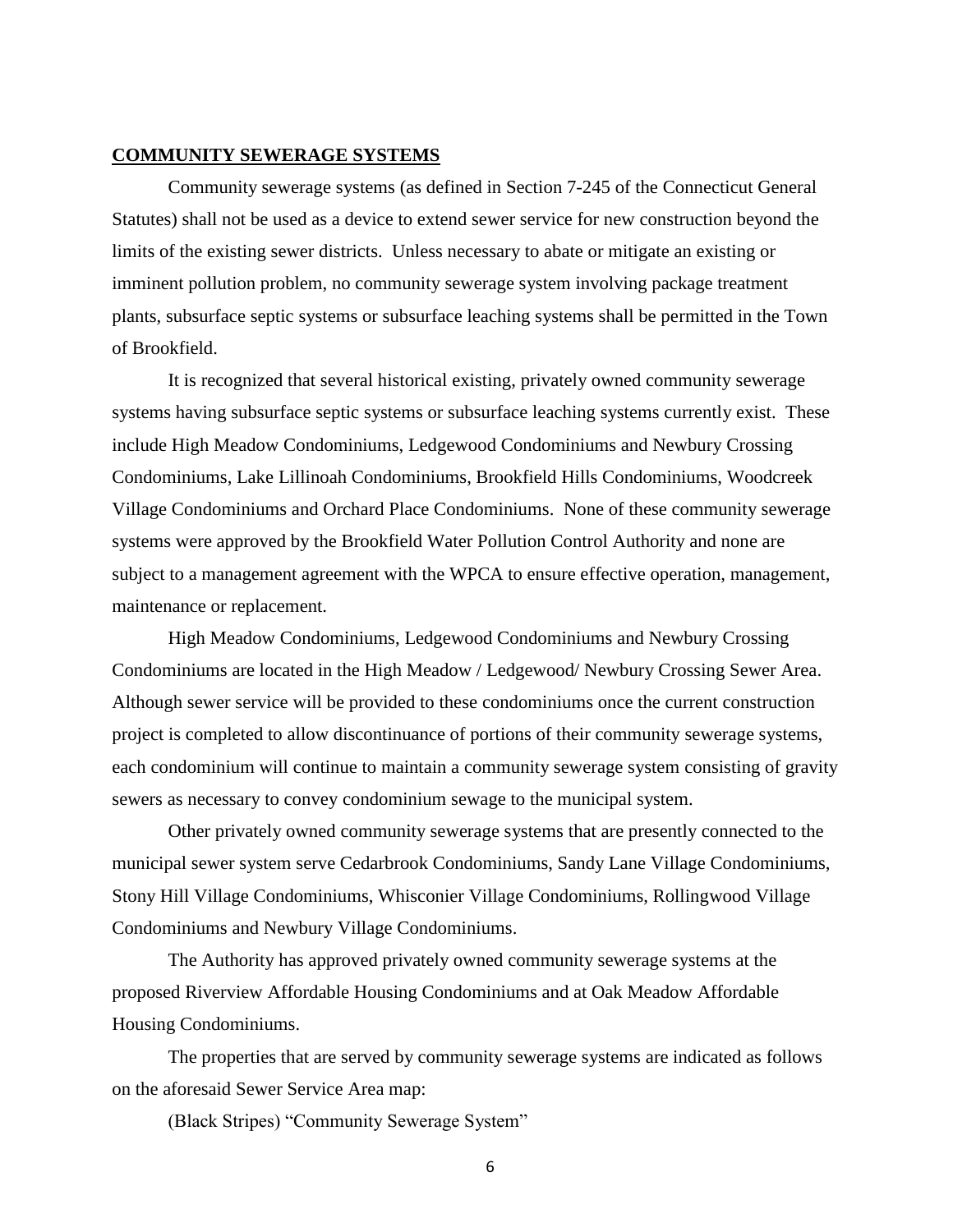#### **COMMUNITY SEWERAGE SYSTEMS**

Community sewerage systems (as defined in Section 7-245 of the Connecticut General Statutes) shall not be used as a device to extend sewer service for new construction beyond the limits of the existing sewer districts. Unless necessary to abate or mitigate an existing or imminent pollution problem, no community sewerage system involving package treatment plants, subsurface septic systems or subsurface leaching systems shall be permitted in the Town of Brookfield.

It is recognized that several historical existing, privately owned community sewerage systems having subsurface septic systems or subsurface leaching systems currently exist. These include High Meadow Condominiums, Ledgewood Condominiums and Newbury Crossing Condominiums, Lake Lillinoah Condominiums, Brookfield Hills Condominiums, Woodcreek Village Condominiums and Orchard Place Condominiums. None of these community sewerage systems were approved by the Brookfield Water Pollution Control Authority and none are subject to a management agreement with the WPCA to ensure effective operation, management, maintenance or replacement.

High Meadow Condominiums, Ledgewood Condominiums and Newbury Crossing Condominiums are located in the High Meadow / Ledgewood/ Newbury Crossing Sewer Area. Although sewer service will be provided to these condominiums once the current construction project is completed to allow discontinuance of portions of their community sewerage systems, each condominium will continue to maintain a community sewerage system consisting of gravity sewers as necessary to convey condominium sewage to the municipal system.

Other privately owned community sewerage systems that are presently connected to the municipal sewer system serve Cedarbrook Condominiums, Sandy Lane Village Condominiums, Stony Hill Village Condominiums, Whisconier Village Condominiums, Rollingwood Village Condominiums and Newbury Village Condominiums.

The Authority has approved privately owned community sewerage systems at the proposed Riverview Affordable Housing Condominiums and at Oak Meadow Affordable Housing Condominiums.

The properties that are served by community sewerage systems are indicated as follows on the aforesaid Sewer Service Area map:

(Black Stripes) "Community Sewerage System"

6